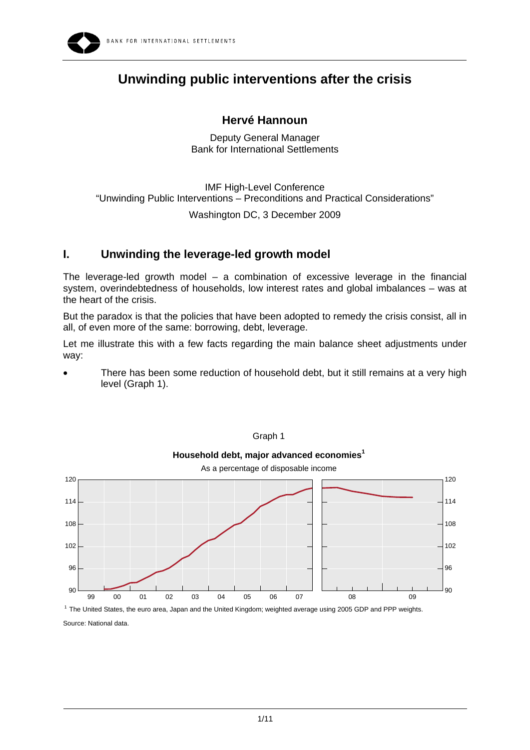

# **Unwinding public interventions after the crisis**

## **Hervé Hannoun**

Deputy General Manager Bank for International Settlements

IMF High-Level Conference "Unwinding Public Interventions – Preconditions and Practical Considerations"

Washington DC, 3 December 2009

# **I. Unwinding the leverage-led growth model**

The leverage-led growth model  $-$  a combination of excessive leverage in the financial system, overindebtedness of households, low interest rates and global imbalances – was at the heart of the crisis.

But the paradox is that the policies that have been adopted to remedy the crisis consist, all in all, of even more of the same: borrowing, debt, leverage.

Let me illustrate this with a few facts regarding the main balance sheet adjustments under way:

There has been some reduction of household debt, but it still remains at a very high level (Graph 1).



Graph 1

1 The United States, the euro area, Japan and the United Kingdom; weighted average using 2005 GDP and PPP weights.

Source: National data.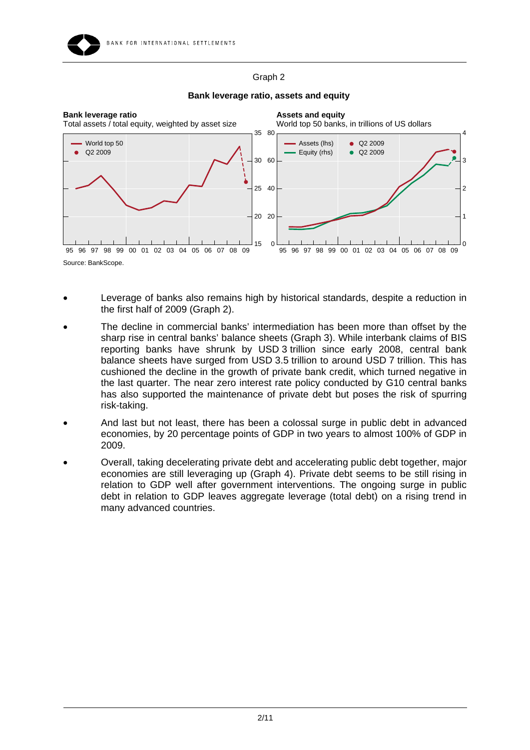### Graph 2



#### **Bank leverage ratio, assets and equity**

- Leverage of banks also remains high by historical standards, despite a reduction in the first half of 2009 (Graph 2).
- The decline in commercial banks' intermediation has been more than offset by the sharp rise in central banks' balance sheets (Graph 3). While interbank claims of BIS reporting banks have shrunk by USD 3 trillion since early 2008, central bank balance sheets have surged from USD 3.5 trillion to around USD 7 trillion. This has cushioned the decline in the growth of private bank credit, which turned negative in the last quarter. The near zero interest rate policy conducted by G10 central banks has also supported the maintenance of private debt but poses the risk of spurring risk-taking.
- And last but not least, there has been a colossal surge in public debt in advanced economies, by 20 percentage points of GDP in two years to almost 100% of GDP in 2009.
- Overall, taking decelerating private debt and accelerating public debt together, major economies are still leveraging up (Graph 4). Private debt seems to be still rising in relation to GDP well after government interventions. The ongoing surge in public debt in relation to GDP leaves aggregate leverage (total debt) on a rising trend in many advanced countries.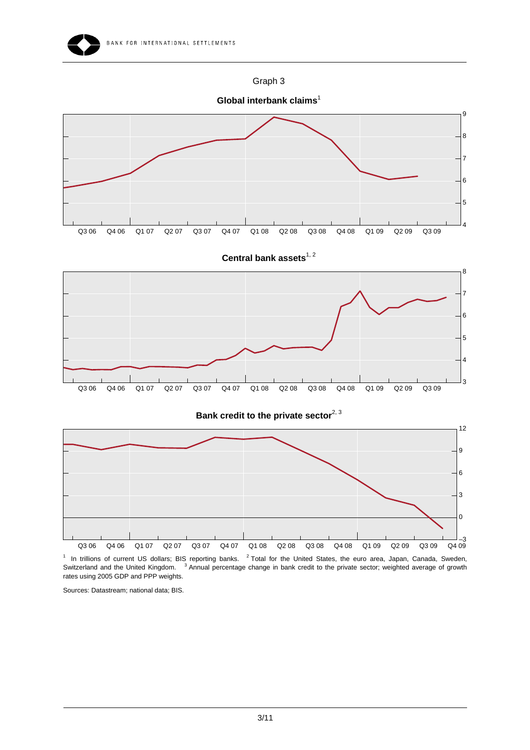



**Global interbank claims**<sup>1</sup>

8

9



Central bank assets<sup>1, 2</sup>







 $1$  In trillions of current US dollars; BIS reporting banks.  $2$  Total for the United States, the euro area, Japan, Canada, Sweden, Switzerland and the United Kingdom. <sup>3</sup> Annual percentage change in bank credit to the private sector; weighted average of growth rates using 2005 GDP and PPP weights.

Sources: Datastream; national data; BIS.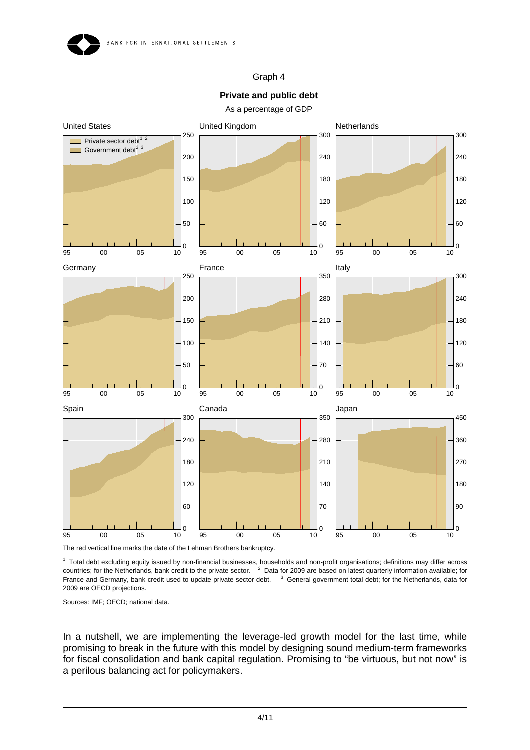

### Graph 4

### **Private and public debt**

As a percentage of GDP



The red vertical line marks the date of the Lehman Brothers bankruptcy.

 Total debt excluding equity issued by non-financial businesses, households and non-profit organisations; definitions may differ across countries; for the Netherlands, bank credit to the private sector. Data for 2009 are based on latest quarterly information available; for France and Germany, bank credit used to update private sector debt. <sup>3</sup> General government total debt; for the Netherlands, data for 2009 are OECD projections.

Sources: IMF; OECD; national data.

In a nutshell, we are implementing the leverage-led growth model for the last time, while promising to break in the future with this model by designing sound medium-term frameworks for fiscal consolidation and bank capital regulation. Promising to "be virtuous, but not now" is a perilous balancing act for policymakers.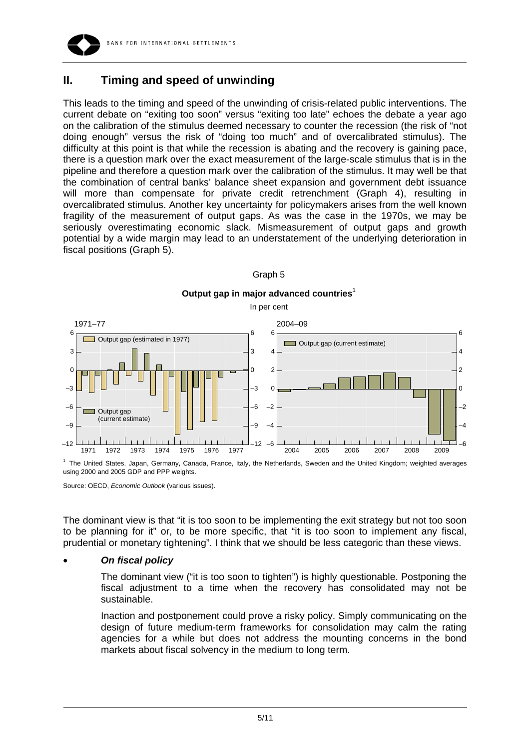

# **II. Timing and speed of unwinding**

This leads to the timing and speed of the unwinding of crisis-related public interventions. The current debate on "exiting too soon" versus "exiting too late" echoes the debate a year ago on the calibration of the stimulus deemed necessary to counter the recession (the risk of "not doing enough" versus the risk of "doing too much" and of overcalibrated stimulus). The difficulty at this point is that while the recession is abating and the recovery is gaining pace, there is a question mark over the exact measurement of the large-scale stimulus that is in the pipeline and therefore a question mark over the calibration of the stimulus. It may well be that the combination of central banks' balance sheet expansion and government debt issuance will more than compensate for private credit retrenchment (Graph 4), resulting in overcalibrated stimulus. Another key uncertainty for policymakers arises from the well known fragility of the measurement of output gaps. As was the case in the 1970s, we may be seriously overestimating economic slack. Mismeasurement of output gaps and growth potential by a wide margin may lead to an understatement of the underlying deterioration in fiscal positions (Graph 5).



#### Graph 5

<sup>1</sup> The United States, Japan, Germany, Canada, France, Italy, the Netherlands, Sweden and the United Kingdom; weighted averages using 2000 and 2005 GDP and PPP weights.

Source: OECD, *Economic Outlook* (various issues).

The dominant view is that "it is too soon to be implementing the exit strategy but not too soon to be planning for it" or, to be more specific, that "it is too soon to implement any fiscal, prudential or monetary tightening". I think that we should be less categoric than these views.

#### • *On fiscal policy*

The dominant view ("it is too soon to tighten") is highly questionable. Postponing the fiscal adjustment to a time when the recovery has consolidated may not be sustainable.

Inaction and postponement could prove a risky policy. Simply communicating on the design of future medium-term frameworks for consolidation may calm the rating agencies for a while but does not address the mounting concerns in the bond markets about fiscal solvency in the medium to long term.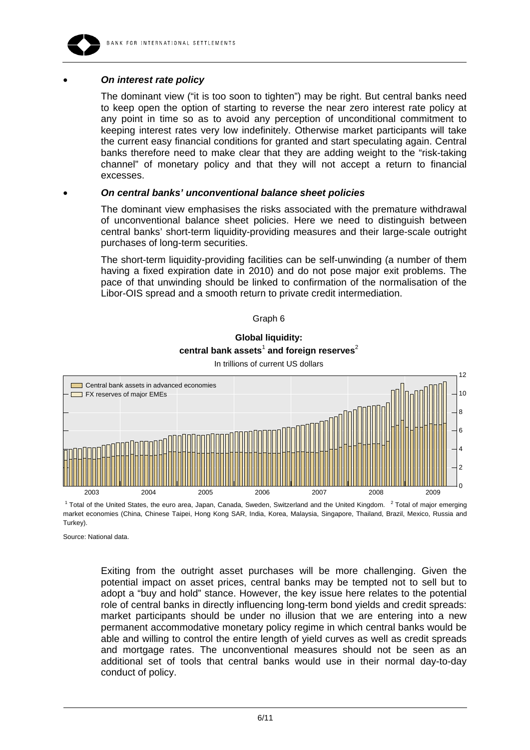

### • *On interest rate policy*

The dominant view ("it is too soon to tighten") may be right. But central banks need to keep open the option of starting to reverse the near zero interest rate policy at any point in time so as to avoid any perception of unconditional commitment to keeping interest rates very low indefinitely. Otherwise market participants will take the current easy financial conditions for granted and start speculating again. Central banks therefore need to make clear that they are adding weight to the "risk-taking channel" of monetary policy and that they will not accept a return to financial excesses.

#### • *On central banks' unconventional balance sheet policies*

The dominant view emphasises the risks associated with the premature withdrawal of unconventional balance sheet policies. Here we need to distinguish between central banks' short-term liquidity-providing measures and their large-scale outright purchases of long-term securities.

The short-term liquidity-providing facilities can be self-unwinding (a number of them having a fixed expiration date in 2010) and do not pose major exit problems. The pace of that unwinding should be linked to confirmation of the normalisation of the Libor-OIS spread and a smooth return to private credit intermediation.

#### Graph 6

# **Global liquidity:**   $\mathsf{central}$  bank assets $^1$  and foreign reserves $^2$



In trillions of current US dollars

<sup>1</sup> Total of the United States, the euro area, Japan, Canada, Sweden, Switzerland and the United Kingdom. <sup>2</sup> Total of major emerging market economies (China, Chinese Taipei, Hong Kong SAR, India, Korea, Malaysia, Singapore, Thailand, Brazil, Mexico, Russia and Turkey).

Source: National data.

Exiting from the outright asset purchases will be more challenging. Given the potential impact on asset prices, central banks may be tempted not to sell but to adopt a "buy and hold" stance. However, the key issue here relates to the potential role of central banks in directly influencing long-term bond yields and credit spreads: market participants should be under no illusion that we are entering into a new permanent accommodative monetary policy regime in which central banks would be able and willing to control the entire length of yield curves as well as credit spreads and mortgage rates. The unconventional measures should not be seen as an additional set of tools that central banks would use in their normal day-to-day conduct of policy.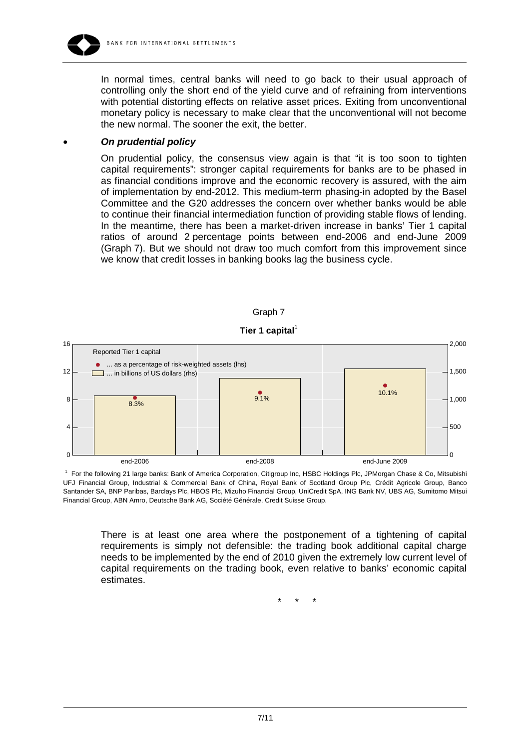

In normal times, central banks will need to go back to their usual approach of controlling only the short end of the yield curve and of refraining from interventions with potential distorting effects on relative asset prices. Exiting from unconventional monetary policy is necessary to make clear that the unconventional will not become the new normal. The sooner the exit, the better.

#### • *On prudential policy*

On prudential policy, the consensus view again is that "it is too soon to tighten capital requirements": stronger capital requirements for banks are to be phased in as financial conditions improve and the economic recovery is assured, with the aim of implementation by end-2012. This medium-term phasing-in adopted by the Basel Committee and the G20 addresses the concern over whether banks would be able to continue their financial intermediation function of providing stable flows of lending. In the meantime, there has been a market-driven increase in banks' Tier 1 capital ratios of around 2 percentage points between end-2006 and end-June 2009 (Graph 7). But we should not draw too much comfort from this improvement since we know that credit losses in banking books lag the business cycle.







<sup>1</sup> For the following 21 large banks: Bank of America Corporation, Citigroup Inc, HSBC Holdings Plc, JPMorgan Chase & Co, Mitsubishi UFJ Financial Group, Industrial & Commercial Bank of China, Royal Bank of Scotland Group Plc, Crédit Agricole Group, Banco Santander SA, BNP Paribas, Barclays Plc, HBOS Plc, Mizuho Financial Group, UniCredit SpA, ING Bank NV, UBS AG, Sumitomo Mitsui Financial Group, ABN Amro, Deutsche Bank AG, Société Générale, Credit Suisse Group.

There is at least one area where the postponement of a tightening of capital requirements is simply not defensible: the trading book additional capital charge needs to be implemented by the end of 2010 given the extremely low current level of capital requirements on the trading book, even relative to banks' economic capital estimates.

\* \* \*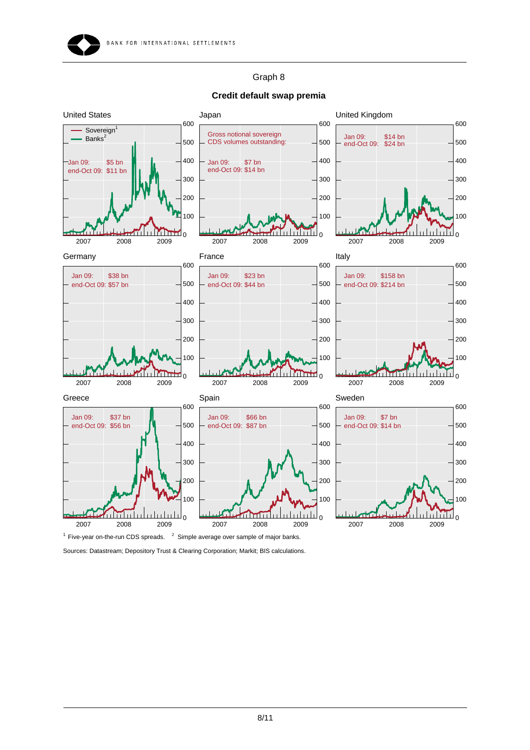### Graph 8



#### **Credit default swap premia**

Sources: Datastream; Depository Trust & Clearing Corporation; Markit; BIS calculations.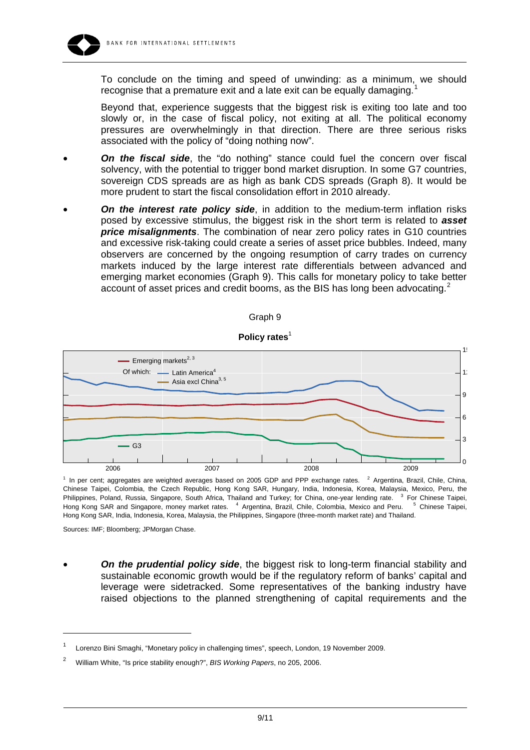

To conclude on the timing and speed of unwinding: as a minimum, we should recognise that a premature exit and a late exit can be equally damaging.

Beyond that, experience suggests that the biggest risk is exiting too late and too slowly or, in the case of fiscal policy, not exiting at all. The political economy pressures are overwhelmingly in that direction. There are three serious risks associated with the policy of "doing nothing now".

- **On the fiscal side**, the "do nothing" stance could fuel the concern over fiscal solvency, with the potential to trigger bond market disruption. In some G7 countries, sovereign CDS spreads are as high as bank CDS spreads (Graph 8). It would be more prudent to start the fiscal consolidation effort in 2010 already.
- *On the interest rate policy side*, in addition to the medium-term inflation risks posed by excessive stimulus, the biggest risk in the short term is related to *asset price misalignments*. The combination of near zero policy rates in G10 countries and excessive risk-taking could create a series of asset price bubbles. Indeed, many observers are concerned by the ongoing resumption of carry trades on currency markets induced by the large interest rate differentials between advanced and emerging market economies (Graph 9). This calls for monetary policy to take better account of asset prices and credit booms, as the BIS has long been advocating.<sup>[2](#page-8-1)</sup>







 $1$  In per cent; aggregates are weighted averages based on 2005 GDP and PPP exchange rates.  $2$  Argentina, Brazil, Chile, China, Chinese Taipei, Colombia, the Czech Republic, Hong Kong SAR, Hungary, India, Indonesia, Korea, Malaysia, Mexico, Peru, the Philippines, Poland, Russia, Singapore, South Africa, Thailand and Turkey; for China, one-year lending rate. <sup>3</sup> For Chinese Taipei, Hong Kong SAR and Singapore, money market rates. <sup>4</sup> Argentina, Brazil, Chile, Colombia, Mexico and Peru. <sup>5</sup> Chinese Taipei, Hong Kong SAR, India, Indonesia, Korea, Malaysia, the Philippines, Singapore (three-month market rate) and Thailand.

Sources: IMF; Bloomberg; JPMorgan Chase.

 $\overline{a}$ 

• *On the prudential policy side*, the biggest risk to long-term financial stability and sustainable economic growth would be if the regulatory reform of banks' capital and leverage were sidetracked. Some representatives of the banking industry have raised objections to the planned strengthening of capital requirements and the

<span id="page-8-0"></span><sup>1</sup> Lorenzo Bini Smaghi, "Monetary policy in challenging times", speech, London, 19 November 2009.

<span id="page-8-1"></span><sup>2</sup> William White, "Is price stability enough?", *BIS Working Papers*, no 205, 2006.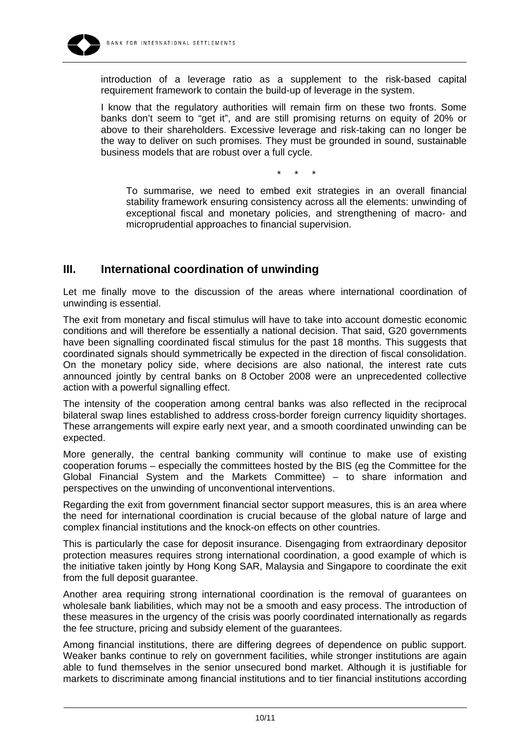

introduction of a leverage ratio as a supplement to the risk-based capital requirement framework to contain the build-up of leverage in the system.

I know that the regulatory authorities will remain firm on these two fronts. Some banks don't seem to "get it", and are still promising returns on equity of 20% or above to their shareholders. Excessive leverage and risk-taking can no longer be the way to deliver on such promises. They must be grounded in sound, sustainable business models that are robust over a full cycle.

\* \* \*

To summarise, we need to embed exit strategies in an overall financial stability framework ensuring consistency across all the elements: unwinding of exceptional fiscal and monetary policies, and strengthening of macro- and microprudential approaches to financial supervision.

# **III. International coordination of unwinding**

Let me finally move to the discussion of the areas where international coordination of unwinding is essential.

The exit from monetary and fiscal stimulus will have to take into account domestic economic conditions and will therefore be essentially a national decision. That said, G20 governments have been signalling coordinated fiscal stimulus for the past 18 months. This suggests that coordinated signals should symmetrically be expected in the direction of fiscal consolidation. On the monetary policy side, where decisions are also national, the interest rate cuts announced jointly by central banks on 8 October 2008 were an unprecedented collective action with a powerful signalling effect.

The intensity of the cooperation among central banks was also reflected in the reciprocal bilateral swap lines established to address cross-border foreign currency liquidity shortages. These arrangements will expire early next year, and a smooth coordinated unwinding can be expected.

More generally, the central banking community will continue to make use of existing cooperation forums – especially the committees hosted by the BIS (eg the Committee for the Global Financial System and the Markets Committee) – to share information and perspectives on the unwinding of unconventional interventions.

Regarding the exit from government financial sector support measures, this is an area where the need for international coordination is crucial because of the global nature of large and complex financial institutions and the knock-on effects on other countries.

This is particularly the case for deposit insurance. Disengaging from extraordinary depositor protection measures requires strong international coordination, a good example of which is the initiative taken jointly by Hong Kong SAR, Malaysia and Singapore to coordinate the exit from the full deposit guarantee.

Another area requiring strong international coordination is the removal of guarantees on wholesale bank liabilities, which may not be a smooth and easy process. The introduction of these measures in the urgency of the crisis was poorly coordinated internationally as regards the fee structure, pricing and subsidy element of the guarantees.

Among financial institutions, there are differing degrees of dependence on public support. Weaker banks continue to rely on government facilities, while stronger institutions are again able to fund themselves in the senior unsecured bond market. Although it is justifiable for markets to discriminate among financial institutions and to tier financial institutions according